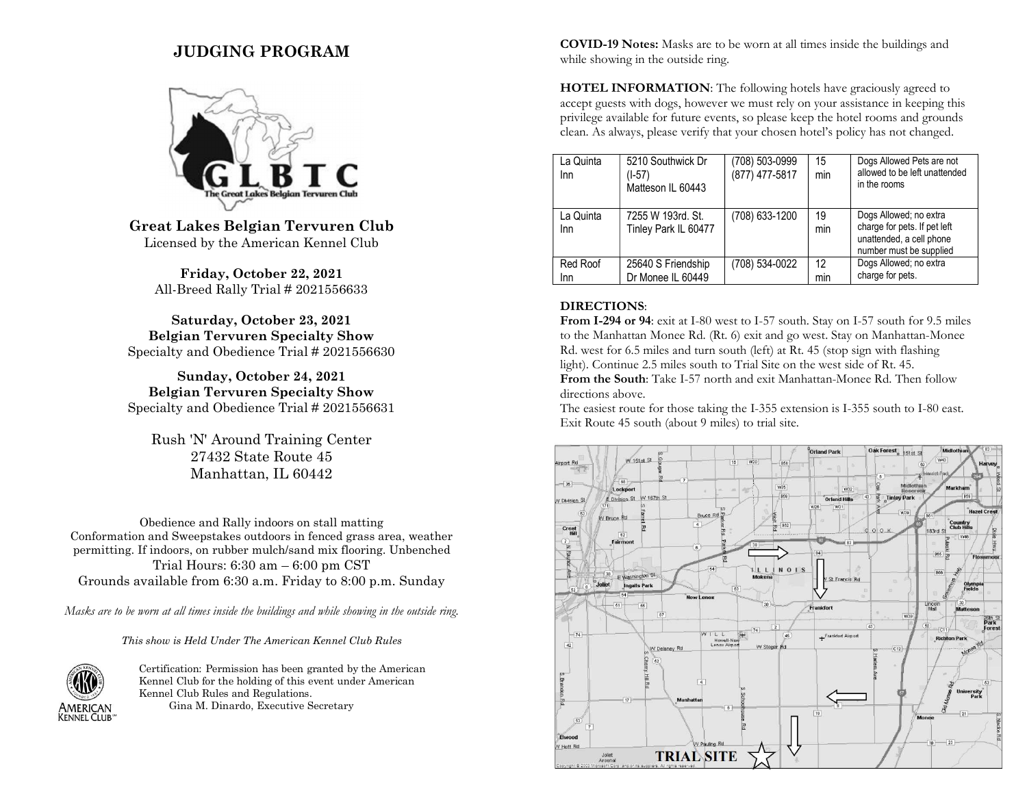# JUDGING PROGRAM



Great Lakes Belgian Tervuren Club Licensed by the American Kennel Club

Friday, October 22, 2021 All-Breed Rally Trial # 2021556633

Saturday, October 23, 2021 Belgian Tervuren Specialty Show Specialty and Obedience Trial # 2021556630

Sunday, October 24, 2021 Belgian Tervuren Specialty Show Specialty and Obedience Trial # 2021556631

Rush 'N' Around Training Center 27432 State Route 45 Manhattan, IL 60442

Obedience and Rally indoors on stall matting Conformation and Sweepstakes outdoors in fenced grass area, weather permitting. If indoors, on rubber mulch/sand mix flooring. Unbenched Trial Hours: 6:30 am – 6:00 pm CST Grounds available from 6:30 a.m. Friday to 8:00 p.m. Sunday

Masks are to be worn at all times inside the buildings and while showing in the outside ring.

This show is Held Under The American Kennel Club Rules



Certification: Permission has been granted by the American Kennel Club for the holding of this event under American Kennel Club Rules and Regulations. Gina M. Dinardo, Executive Secretary

COVID-19 Notes: Masks are to be worn at all times inside the buildings and while showing in the outside ring.

HOTEL INFORMATION: The following hotels have graciously agreed to accept guests with dogs, however we must rely on your assistance in keeping this privilege available for future events, so please keep the hotel rooms and grounds clean. As always, please verify that your chosen hotel's policy has not changed.

| La Quinta<br>Inn | 5210 Southwick Dr<br>(1-57)<br>Matteson IL 60443 | (708) 503-0999<br>(877) 477-5817 | 15<br>min | Dogs Allowed Pets are not<br>allowed to be left unattended<br>in the rooms                                    |
|------------------|--------------------------------------------------|----------------------------------|-----------|---------------------------------------------------------------------------------------------------------------|
| La Quinta<br>Inn | 7255 W 193rd, St.<br>Tinley Park IL 60477        | (708) 633-1200                   | 19<br>min | Dogs Allowed; no extra<br>charge for pets. If pet left<br>unattended, a cell phone<br>number must be supplied |
| Red Roof<br>Inn  | 25640 S Friendship<br>Dr Monee IL 60449          | (708) 534-0022                   | 12<br>min | Dogs Allowed; no extra<br>charge for pets.                                                                    |

#### DIRECTIONS:

From I-294 or 94: exit at I-80 west to I-57 south. Stay on I-57 south for 9.5 miles to the Manhattan Monee Rd. (Rt. 6) exit and go west. Stay on Manhattan-Monee Rd. west for 6.5 miles and turn south (left) at Rt. 45 (stop sign with flashing light). Continue 2.5 miles south to Trial Site on the west side of Rt. 45.

From the South: Take I-57 north and exit Manhattan-Monee Rd. Then follow directions above.

The easiest route for those taking the I-355 extension is I-355 south to I-80 east. Exit Route 45 south (about 9 miles) to trial site.

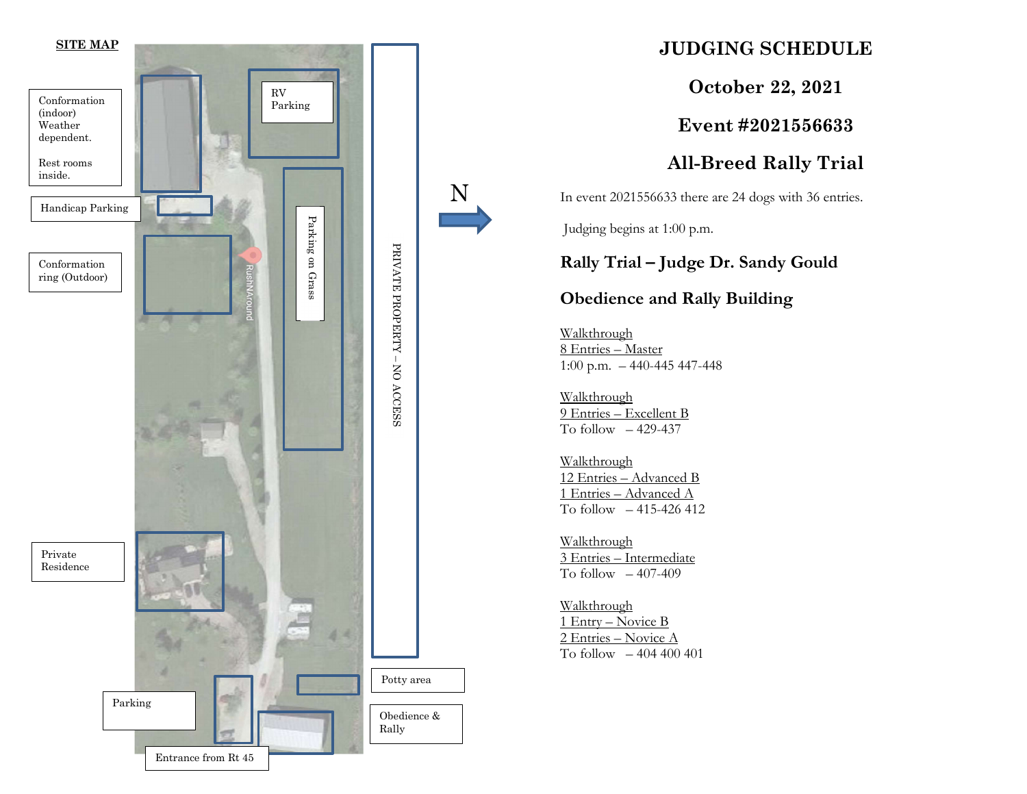

# JUDGING SCHEDULE

October 22, 2021

Event #2021556633

All-Breed Rally Trial

In event 2021556633 there are 24 dogs with 36 entries.

Judging begins at 1:00 p.m.

Rally Trial – Judge Dr. Sandy Gould

## Obedience and Rally Building

 $\frac{1}{2}$  1:00 p.m. – 440-445 447-448 Walkthrough 8 Entries – Master

 $\frac{1.00 \text{ p.m.} - 440-4}{\frac{\text{Walkthrough}}{\text{D}}}}$ Walkthrough 9 Entries – Excellent B To follow  $-429-437$ 

> Walkthrough 12 Entries – Advanced B 1 Entries – Advanced A To follow – 415-426 412

Walkthrough 3 Entries – Intermediate To follow  $-407-409$ 

Walkthrough 1 Entry – Novice B 2 Entries – Novice A To follow – 404 400 401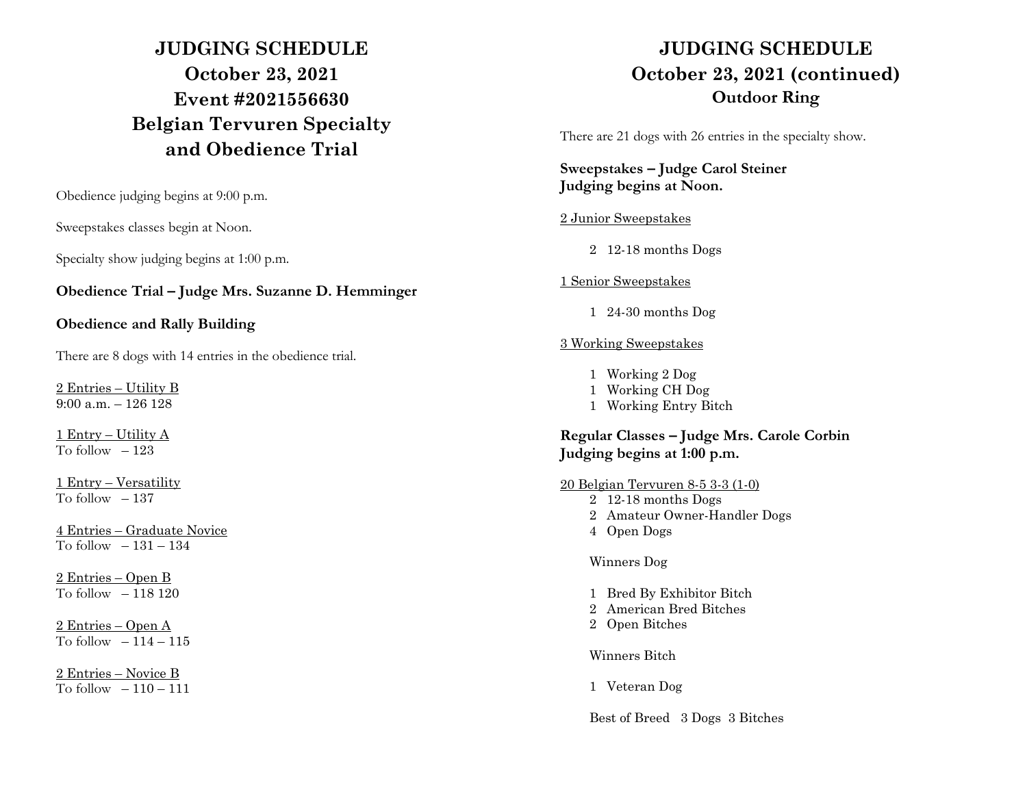# JUDGING SCHEDULE October 23, 2021 Event #2021556630 Belgian Tervuren Specialty and Obedience Trial

Obedience judging begins at 9:00 p.m.

Sweepstakes classes begin at Noon.

Specialty show judging begins at 1:00 p.m.

Obedience Trial – Judge Mrs. Suzanne D. Hemminger

#### Obedience and Rally Building

There are 8 dogs with 14 entries in the obedience trial.

2 Entries – Utility B 9:00 a.m. – 126 128

1 Entry – Utility A To follow  $-123$ 

1 Entry – Versatility To follow  $-137$ 

4 Entries – Graduate Novice To follow – 131 – 134

2 Entries – Open B To follow  $-118120$ 

2 Entries – Open A To follow  $-114-115$ 

2 Entries – Novice B To follow  $-110-111$ 

# JUDGING SCHEDULE October 23, 2021 (continued) Outdoor Ring

There are 21 dogs with 26 entries in the specialty show.

### Sweepstakes – Judge Carol Steiner Judging begins at Noon.

#### 2 Junior Sweepstakes

2 12-18 months Dogs

### 1 Senior Sweepstakes

1 24-30 months Dog

### 3 Working Sweepstakes

- 1 Working 2 Dog
- 1 Working CH Dog
- 1 Working Entry Bitch

## Regular Classes – Judge Mrs. Carole Corbin Judging begins at 1:00 p.m.

#### 20 Belgian Tervuren 8-5 3-3 (1-0)

- 2 12-18 months Dogs
- 2 Amateur Owner-Handler Dogs
- 4 Open Dogs

### Winners Dog

- 1 Bred By Exhibitor Bitch
- 2 American Bred Bitches
- 2 Open Bitches

#### Winners Bitch

1 Veteran Dog

Best of Breed 3 Dogs 3 Bitches